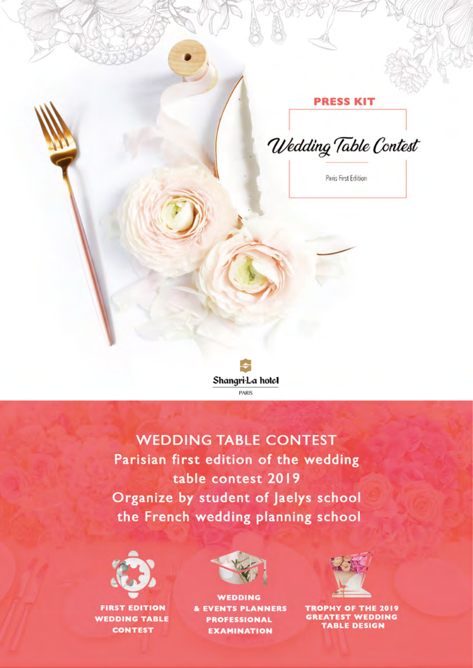#### **PRESS KIT**

Wedding Table Contest

Paris First Edition



# **WEDDING TABLE CONTEST** Parisian first edition of the wedding table contest 2019 Organize by student of Jaelys school the French wedding planning school



**FIRST EDITION WEDDING TABLE CONTEST** 



**WEDDING** & EVENTS PLANNERS **PROFESSIONAL EXAMINATION** 



TROPHY OF THE 2019 GREATEST WEDDING<br>TABLE DESIGN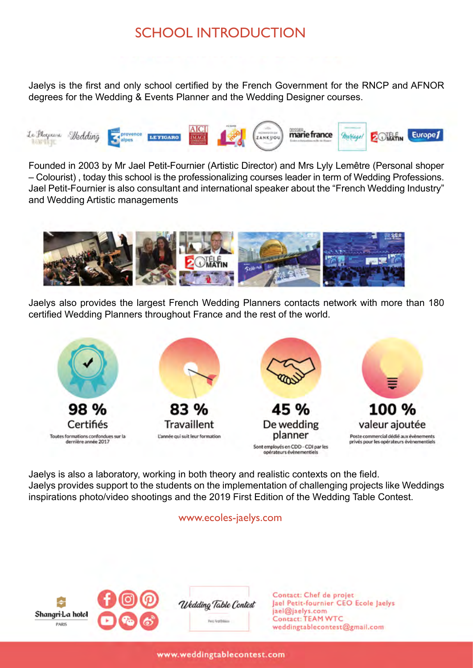### SCHOOL INTRODUCTION

Jaelys is the first and only school certified by the French Government for the RNCP and AFNOR degrees for the Wedding & Events Planner and the Wedding Designer courses.



Founded in 2003 by Mr Jael Petit-Fournier (Artistic Director) and Mrs Lyly Lemêtre (Personal shoper – Colourist) , today this school is the professionalizing courses leader in term of Wedding Professions. Jael Petit-Fournier is also consultant and international speaker about the "French Wedding Industry" and Wedding Artistic managements



Jaelys also provides the largest French Wedding Planners contacts network with more than 180 certified Wedding Planners throughout France and the rest of the world.



Jaelys is also a laboratory, working in both theory and realistic contexts on the field. Jaelys provides support to the students on the implementation of challenging projects like Weddings inspirations photo/video shootings and the 2019 First Edition of the Wedding Table Contest.

#### www.ecoles-jaelys.com

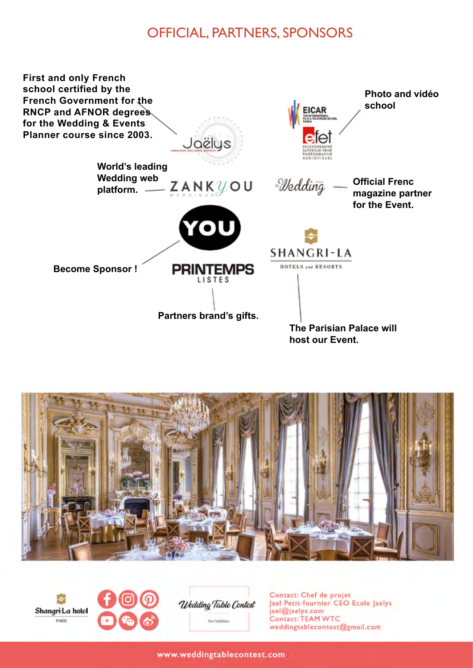#### OFFICIAL, PARTNERS, SPONSORS







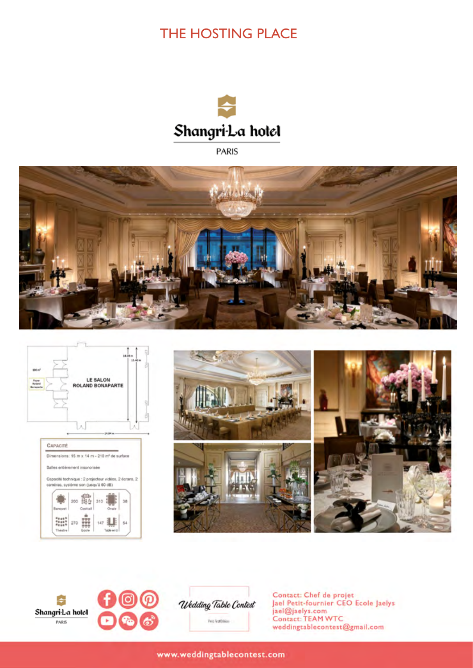## THE HOSTING PLACE



**PARIS** 













Contact: Chef de projet<br>Jael Petit-fournier CEO Ecole Jaelys jael@jaelys.com<br>Contact: TEAM WTC weddingtablecontest@gmail.com

www.weddingtablecontest.com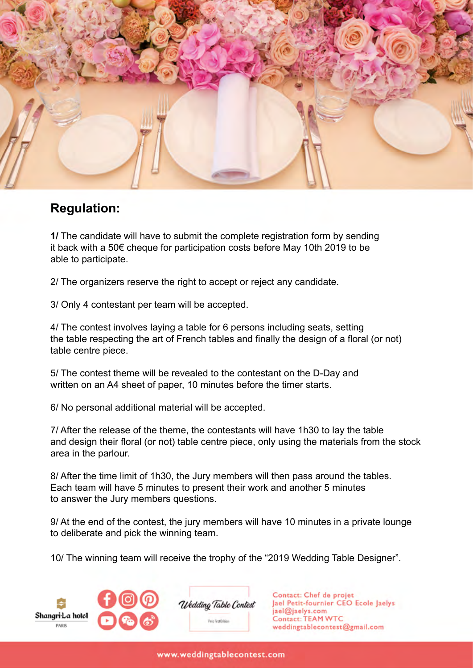

#### **Regulation:**

**1/** The candidate will have to submit the complete registration form by sending it back with a 50€ cheque for participation costs before May 10th 2019 to be able to participate.

2/ The organizers reserve the right to accept or reject any candidate.

3/ Only 4 contestant per team will be accepted.

4/ The contest involves laying a table for 6 persons including seats, setting the table respecting the art of French tables and finally the design of a floral (or not) table centre piece.

5/ The contest theme will be revealed to the contestant on the D-Day and written on an A4 sheet of paper, 10 minutes before the timer starts.

6/ No personal additional material will be accepted.

7/ After the release of the theme, the contestants will have 1h30 to lay the table and design their floral (or not) table centre piece, only using the materials from the stock area in the parlour.

8/ After the time limit of 1h30, the Jury members will then pass around the tables. Each team will have 5 minutes to present their work and another 5 minutes to answer the Jury members questions.

9/ At the end of the contest, the jury members will have 10 minutes in a private lounge to deliberate and pick the winning team.

10/ The winning team will receive the trophy of the "2019 Wedding Table Designer".



Wedding Table Contest Paris First Ericion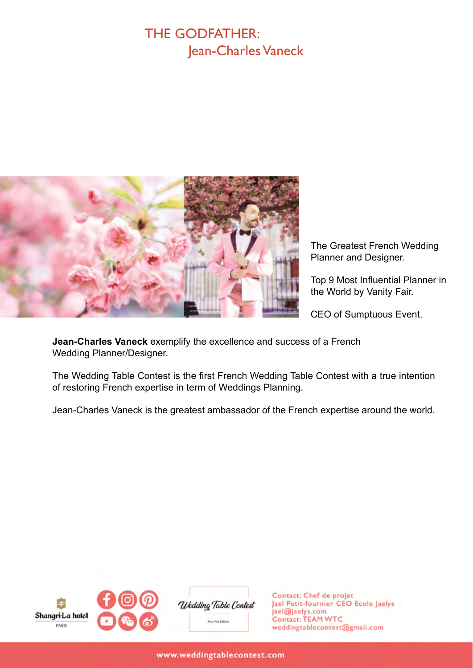#### THE GODFATHER: Jean-Charles Vaneck



The Greatest French Wedding Planner and Designer.

Top 9 Most Influential Planner in the World by Vanity Fair.

CEO of Sumptuous Event.

**Jean-Charles Vaneck** exemplify the excellence and success of a French Wedding Planner/Designer.

The Wedding Table Contest is the first French Wedding Table Contest with a true intention of restoring French expertise in term of Weddings Planning.

Jean-Charles Vaneck is the greatest ambassador of the French expertise around the world.



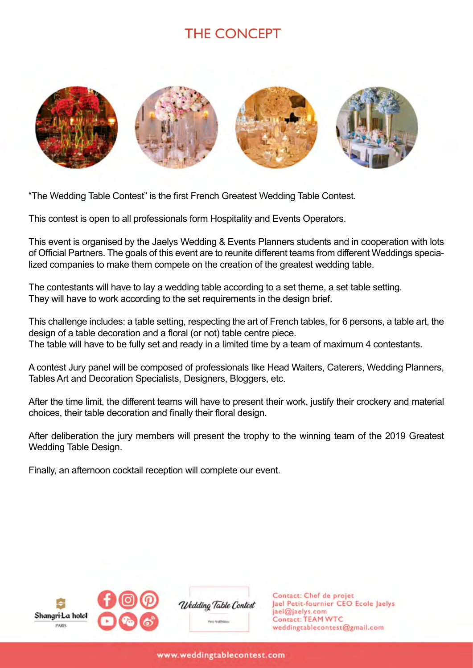### THE CONCEPT



"The Wedding Table Contest" is the first French Greatest Wedding Table Contest.

This contest is open to all professionals form Hospitality and Events Operators.

This event is organised by the Jaelys Wedding & Events Planners students and in cooperation with lots of Official Partners. The goals of this event are to reunite different teams from different Weddings specialized companies to make them compete on the creation of the greatest wedding table.

The contestants will have to lay a wedding table according to a set theme, a set table setting. They will have to work according to the set requirements in the design brief.

This challenge includes: a table setting, respecting the art of French tables, for 6 persons, a table art, the design of a table decoration and a floral (or not) table centre piece. The table will have to be fully set and ready in a limited time by a team of maximum 4 contestants.

A contest Jury panel will be composed of professionals like Head Waiters, Caterers, Wedding Planners, Tables Art and Decoration Specialists, Designers, Bloggers, etc.

After the time limit, the different teams will have to present their work, justify their crockery and material choices, their table decoration and finally their floral design.

After deliberation the jury members will present the trophy to the winning team of the 2019 Greatest Wedding Table Design.

Finally, an afternoon cocktail reception will complete our event.